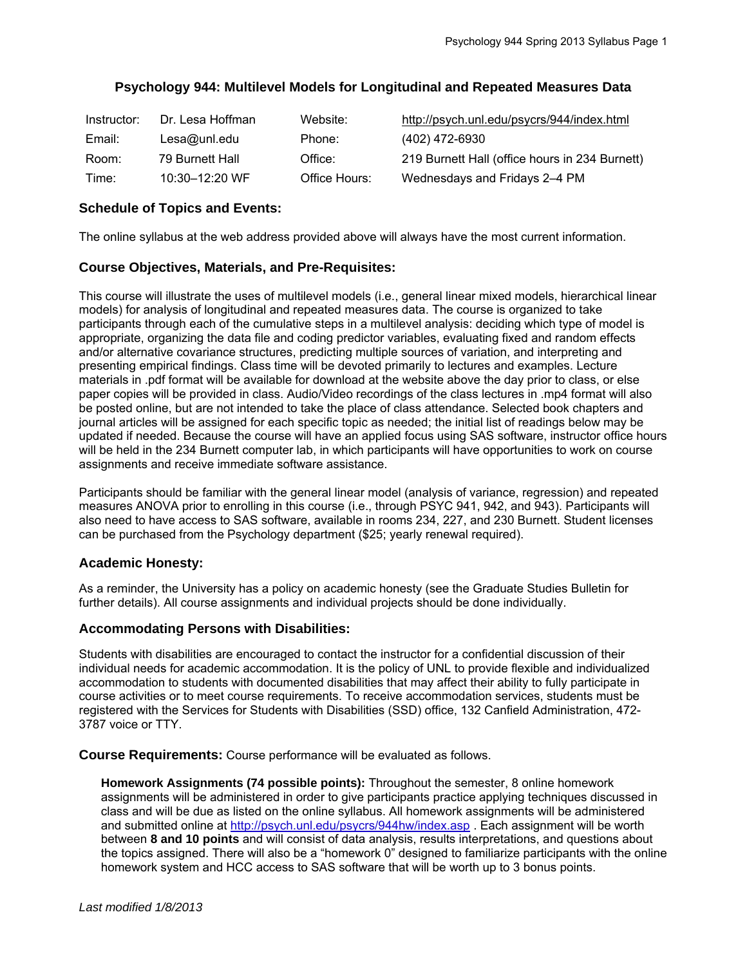# **Psychology 944: Multilevel Models for Longitudinal and Repeated Measures Data**

| Instructor: | Dr. Lesa Hoffman   | Website:      | http://psych.unl.edu/psycrs/944/index.html     |
|-------------|--------------------|---------------|------------------------------------------------|
| Email:      | Lesa@unl.edu       | Phone:        | (402) 472-6930                                 |
| Room:       | 79 Burnett Hall    | Office:       | 219 Burnett Hall (office hours in 234 Burnett) |
| Time:       | $10:30 - 12:20$ WF | Office Hours: | Wednesdays and Fridays 2–4 PM                  |

## **Schedule of Topics and Events:**

The online syllabus at the web address provided above will always have the most current information.

### **Course Objectives, Materials, and Pre-Requisites:**

This course will illustrate the uses of multilevel models (i.e., general linear mixed models, hierarchical linear models) for analysis of longitudinal and repeated measures data. The course is organized to take participants through each of the cumulative steps in a multilevel analysis: deciding which type of model is appropriate, organizing the data file and coding predictor variables, evaluating fixed and random effects and/or alternative covariance structures, predicting multiple sources of variation, and interpreting and presenting empirical findings. Class time will be devoted primarily to lectures and examples. Lecture materials in .pdf format will be available for download at the website above the day prior to class, or else paper copies will be provided in class. Audio/Video recordings of the class lectures in .mp4 format will also be posted online, but are not intended to take the place of class attendance. Selected book chapters and journal articles will be assigned for each specific topic as needed; the initial list of readings below may be updated if needed. Because the course will have an applied focus using SAS software, instructor office hours will be held in the 234 Burnett computer lab, in which participants will have opportunities to work on course assignments and receive immediate software assistance.

Participants should be familiar with the general linear model (analysis of variance, regression) and repeated measures ANOVA prior to enrolling in this course (i.e., through PSYC 941, 942, and 943). Participants will also need to have access to SAS software, available in rooms 234, 227, and 230 Burnett. Student licenses can be purchased from the Psychology department (\$25; yearly renewal required).

### **Academic Honesty:**

As a reminder, the University has a policy on academic honesty (see the Graduate Studies Bulletin for further details). All course assignments and individual projects should be done individually.

### **Accommodating Persons with Disabilities:**

Students with disabilities are encouraged to contact the instructor for a confidential discussion of their individual needs for academic accommodation. It is the policy of UNL to provide flexible and individualized accommodation to students with documented disabilities that may affect their ability to fully participate in course activities or to meet course requirements. To receive accommodation services, students must be registered with the Services for Students with Disabilities (SSD) office, 132 Canfield Administration, 472- 3787 voice or TTY.

**Course Requirements:** Course performance will be evaluated as follows.

**Homework Assignments (74 possible points):** Throughout the semester, 8 online homework assignments will be administered in order to give participants practice applying techniques discussed in class and will be due as listed on the online syllabus. All homework assignments will be administered and submitted online at http://psych.unl.edu/psycrs/944hw/index.asp . Each assignment will be worth between **8 and 10 points** and will consist of data analysis, results interpretations, and questions about the topics assigned. There will also be a "homework 0" designed to familiarize participants with the online homework system and HCC access to SAS software that will be worth up to 3 bonus points.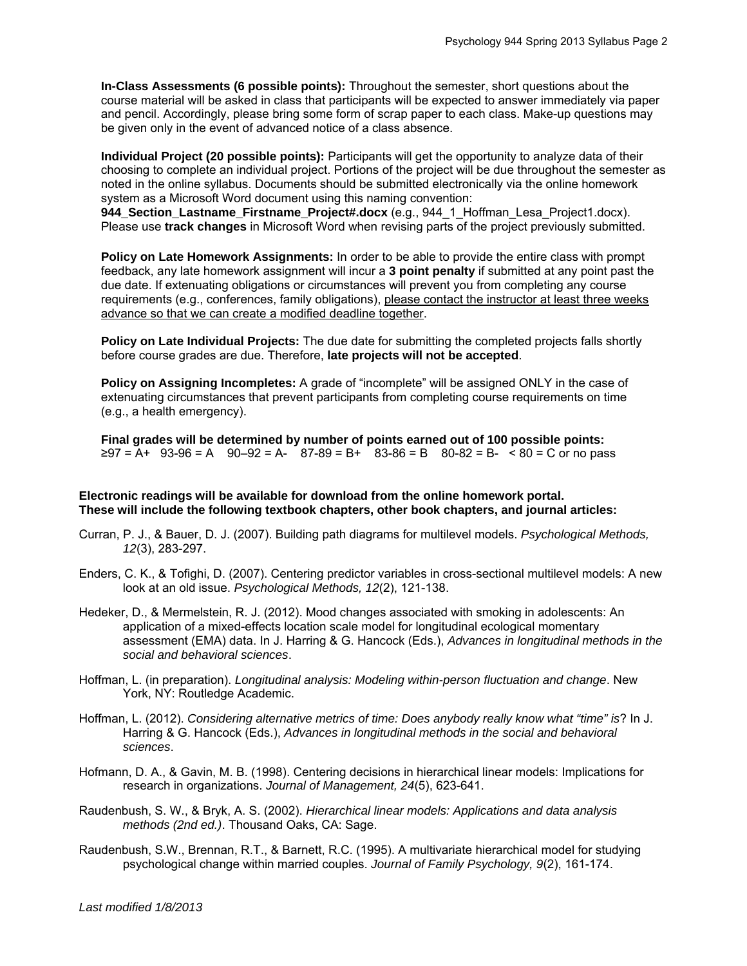**In-Class Assessments (6 possible points):** Throughout the semester, short questions about the course material will be asked in class that participants will be expected to answer immediately via paper and pencil. Accordingly, please bring some form of scrap paper to each class. Make-up questions may be given only in the event of advanced notice of a class absence.

**Individual Project (20 possible points):** Participants will get the opportunity to analyze data of their choosing to complete an individual project. Portions of the project will be due throughout the semester as noted in the online syllabus. Documents should be submitted electronically via the online homework system as a Microsoft Word document using this naming convention:

**944\_Section\_Lastname\_Firstname\_Project#.docx** (e.g., 944\_1\_Hoffman\_Lesa\_Project1.docx). Please use **track changes** in Microsoft Word when revising parts of the project previously submitted.

**Policy on Late Homework Assignments:** In order to be able to provide the entire class with prompt feedback, any late homework assignment will incur a **3 point penalty** if submitted at any point past the due date. If extenuating obligations or circumstances will prevent you from completing any course requirements (e.g., conferences, family obligations), please contact the instructor at least three weeks advance so that we can create a modified deadline together.

**Policy on Late Individual Projects:** The due date for submitting the completed projects falls shortly before course grades are due. Therefore, **late projects will not be accepted**.

**Policy on Assigning Incompletes:** A grade of "incomplete" will be assigned ONLY in the case of extenuating circumstances that prevent participants from completing course requirements on time (e.g., a health emergency).

**Final grades will be determined by number of points earned out of 100 possible points:**   $≥97 = A+ 93-96 = A - 90-92 = A - 87-89 = B + 83-86 = B - 80-82 = B - 80 = C$  or no pass

#### **Electronic readings will be available for download from the online homework portal. These will include the following textbook chapters, other book chapters, and journal articles:**

- Curran, P. J., & Bauer, D. J. (2007). Building path diagrams for multilevel models. *Psychological Methods, 12*(3), 283-297.
- Enders, C. K., & Tofighi, D. (2007). Centering predictor variables in cross-sectional multilevel models: A new look at an old issue. *Psychological Methods, 12*(2), 121-138.
- Hedeker, D., & Mermelstein, R. J. (2012). Mood changes associated with smoking in adolescents: An application of a mixed-effects location scale model for longitudinal ecological momentary assessment (EMA) data. In J. Harring & G. Hancock (Eds.), *Advances in longitudinal methods in the social and behavioral sciences*.
- Hoffman, L. (in preparation). *Longitudinal analysis: Modeling within-person fluctuation and change*. New York, NY: Routledge Academic.
- Hoffman, L. (2012). *Considering alternative metrics of time: Does anybody really know what "time" is*? In J. Harring & G. Hancock (Eds.), *Advances in longitudinal methods in the social and behavioral sciences*.
- Hofmann, D. A., & Gavin, M. B. (1998). Centering decisions in hierarchical linear models: Implications for research in organizations. *Journal of Management, 24*(5), 623-641.
- Raudenbush, S. W., & Bryk, A. S. (2002). *Hierarchical linear models: Applications and data analysis methods (2nd ed.)*. Thousand Oaks, CA: Sage.
- Raudenbush, S.W., Brennan, R.T., & Barnett, R.C. (1995). A multivariate hierarchical model for studying psychological change within married couples. *Journal of Family Psychology, 9*(2), 161-174.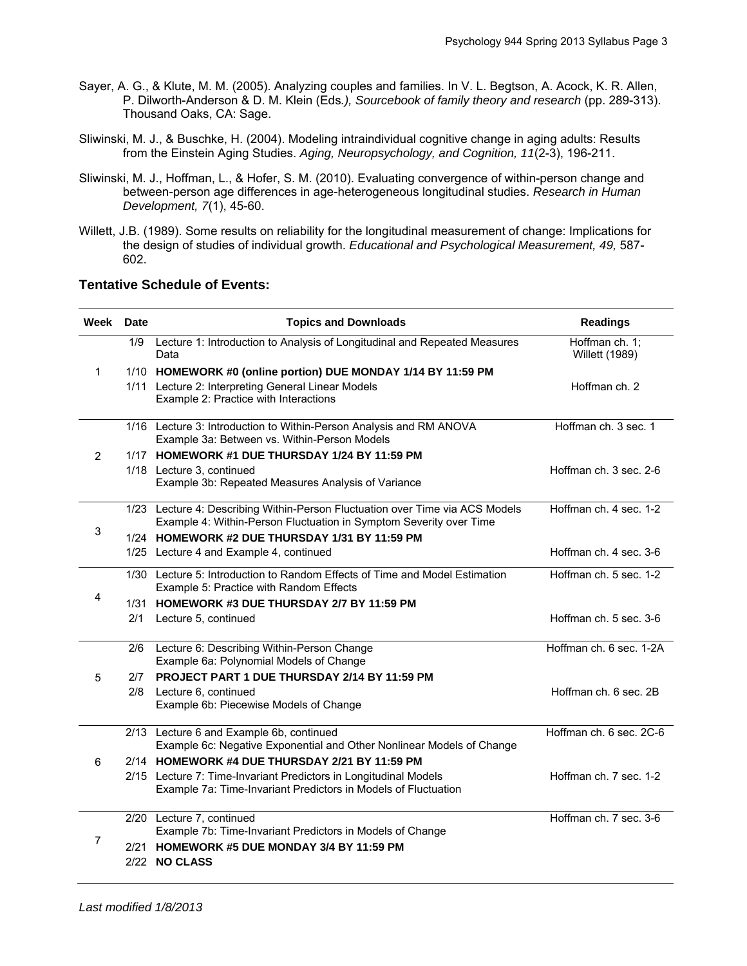- Sayer, A. G., & Klute, M. M. (2005). Analyzing couples and families. In V. L. Begtson, A. Acock, K. R. Allen, P. Dilworth-Anderson & D. M. Klein (Eds*.), Sourcebook of family theory and research* (pp. 289-313). Thousand Oaks, CA: Sage.
- Sliwinski, M. J., & Buschke, H. (2004). Modeling intraindividual cognitive change in aging adults: Results from the Einstein Aging Studies. *Aging, Neuropsychology, and Cognition, 11*(2-3), 196-211.
- Sliwinski, M. J., Hoffman, L., & Hofer, S. M. (2010). Evaluating convergence of within-person change and between-person age differences in age-heterogeneous longitudinal studies. *Research in Human Development, 7*(1), 45-60.
- Willett, J.B. (1989). Some results on reliability for the longitudinal measurement of change: Implications for the design of studies of individual growth. *Educational and Psychological Measurement, 49,* 587- 602.

#### **Tentative Schedule of Events:**

| Week Date |     | <b>Topics and Downloads</b>                                                                                                                         | <b>Readings</b>                         |
|-----------|-----|-----------------------------------------------------------------------------------------------------------------------------------------------------|-----------------------------------------|
| 1         | 1/9 | Lecture 1: Introduction to Analysis of Longitudinal and Repeated Measures<br>Data                                                                   | Hoffman ch. 1;<br><b>Willett (1989)</b> |
|           |     | 1/10 HOMEWORK #0 (online portion) DUE MONDAY 1/14 BY 11:59 PM                                                                                       |                                         |
|           |     | 1/11 Lecture 2: Interpreting General Linear Models<br>Example 2: Practice with Interactions                                                         | Hoffman ch. 2                           |
| 2         |     | 1/16 Lecture 3: Introduction to Within-Person Analysis and RM ANOVA<br>Example 3a: Between vs. Within-Person Models                                 | Hoffman ch. 3 sec. 1                    |
|           |     | 1/17 HOMEWORK #1 DUE THURSDAY 1/24 BY 11:59 PM                                                                                                      |                                         |
|           |     | 1/18 Lecture 3, continued<br>Example 3b: Repeated Measures Analysis of Variance                                                                     | Hoffman ch. 3 sec. 2-6                  |
| 3         |     | 1/23 Lecture 4: Describing Within-Person Fluctuation over Time via ACS Models<br>Example 4: Within-Person Fluctuation in Symptom Severity over Time | Hoffman ch. 4 sec. 1-2                  |
|           |     | 1/24 HOMEWORK #2 DUE THURSDAY 1/31 BY 11:59 PM                                                                                                      |                                         |
|           |     | 1/25 Lecture 4 and Example 4, continued                                                                                                             | Hoffman ch. 4 sec. 3-6                  |
| 4         |     | 1/30 Lecture 5: Introduction to Random Effects of Time and Model Estimation<br>Example 5: Practice with Random Effects                              | Hoffman ch. 5 sec. 1-2                  |
|           |     | 1/31 HOMEWORK #3 DUE THURSDAY 2/7 BY 11:59 PM                                                                                                       |                                         |
|           | 2/1 | Lecture 5, continued                                                                                                                                | Hoffman ch. 5 sec. 3-6                  |
| 5         | 2/6 | Lecture 6: Describing Within-Person Change<br>Example 6a: Polynomial Models of Change                                                               | Hoffman ch. 6 sec. 1-2A                 |
|           | 2/7 | PROJECT PART 1 DUE THURSDAY 2/14 BY 11:59 PM                                                                                                        |                                         |
|           | 2/8 | Lecture 6, continued<br>Example 6b: Piecewise Models of Change                                                                                      | Hoffman ch. 6 sec. 2B                   |
| 6         |     | 2/13 Lecture 6 and Example 6b, continued<br>Example 6c: Negative Exponential and Other Nonlinear Models of Change                                   | Hoffman ch. 6 sec. 2C-6                 |
|           |     | 2/14 HOMEWORK #4 DUE THURSDAY 2/21 BY 11:59 PM                                                                                                      |                                         |
|           |     | 2/15 Lecture 7: Time-Invariant Predictors in Longitudinal Models<br>Example 7a: Time-Invariant Predictors in Models of Fluctuation                  | Hoffman ch. 7 sec. 1-2                  |
| 7         |     | 2/20 Lecture 7, continued                                                                                                                           | Hoffman ch. 7 sec. 3-6                  |
|           |     | Example 7b: Time-Invariant Predictors in Models of Change                                                                                           |                                         |
|           |     | 2/21 HOMEWORK #5 DUE MONDAY 3/4 BY 11:59 PM                                                                                                         |                                         |
|           |     | 2/22 NO CLASS                                                                                                                                       |                                         |